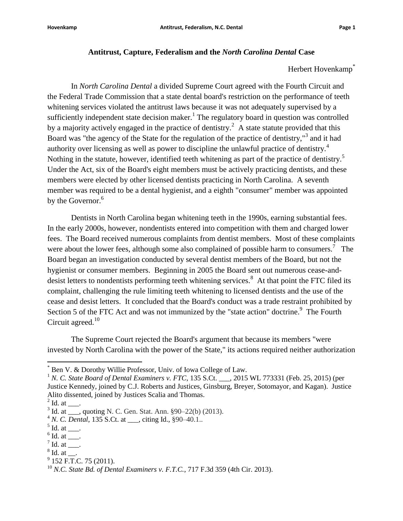## **Antitrust, Capture, Federalism and the** *North Carolina Dental* **Case**

## Herbert Hovenkamp<sup>\*</sup>

In *North Carolina Dental* a divided Supreme Court agreed with the Fourth Circuit and the Federal Trade Commission that a state dental board's restriction on the performance of teeth whitening services violated the antitrust laws because it was not adequately supervised by a sufficiently independent state decision maker.<sup>1</sup> The regulatory board in question was controlled by a majority actively engaged in the practice of dentistry.<sup>2</sup> A state statute provided that this Board was "the agency of the State for the regulation of the practice of dentistry,"<sup>3</sup> and it had authority over licensing as well as power to discipline the unlawful practice of dentistry.<sup>4</sup> Nothing in the statute, however, identified teeth whitening as part of the practice of dentistry.<sup>5</sup> Under the Act, six of the Board's eight members must be actively practicing dentists, and these members were elected by other licensed dentists practicing in North Carolina. A seventh member was required to be a dental hygienist, and a eighth "consumer" member was appointed by the Governor.<sup>6</sup>

Dentists in North Carolina began whitening teeth in the 1990s, earning substantial fees. In the early 2000s, however, nondentists entered into competition with them and charged lower fees. The Board received numerous complaints from dentist members. Most of these complaints were about the lower fees, although some also complained of possible harm to consumers.<sup>7</sup> The Board began an investigation conducted by several dentist members of the Board, but not the hygienist or consumer members. Beginning in 2005 the Board sent out numerous cease-anddesist letters to nondentists performing teeth whitening services. $\delta$  At that point the FTC filed its complaint, challenging the rule limiting teeth whitening to licensed dentists and the use of the cease and desist letters. It concluded that the Board's conduct was a trade restraint prohibited by Section 5 of the FTC Act and was not immunized by the "state action" doctrine.<sup>9</sup> The Fourth Circuit agreed. $10$ 

The Supreme Court rejected the Board's argument that because its members "were invested by North Carolina with the power of the State," its actions required neither authorization

<sup>\*</sup> Ben V. & Dorothy Willie Professor, Univ. of Iowa College of Law.

<sup>&</sup>lt;sup>1</sup> *N. C. State Board of Dental Examiners v. FTC*, 135 S.Ct. \_\_\_, 2015 WL 773331 (Feb. 25, 2015) (per Justice Kennedy, joined by C.J. Roberts and Justices, Ginsburg, Breyer, Sotomayor, and Kagan). Justice Alito dissented, joined by Justices Scalia and Thomas.

 $2$  Id. at  $\_\_$ .

 $3$  Id. at  $\_\_$ , quoting N. C. Gen. Stat. Ann.  $90-22(b)$  (2013).

<sup>4</sup> *N. C. Dental*, 135 S.Ct. at \_\_\_, citing Id., §90–40.1..

 $<sup>5</sup>$  Id. at  $\_\_$ .</sup>

 $6$  Id. at  $\_\_$ .

 $^7$  Id. at \_\_\_\_.

 $\rm{^8}$  Id. at  $\_\_$ .

 $9$  152 F.T.C. 75 (2011).

<sup>10</sup> *N.C. State Bd. of Dental Examiners v. F.T.C.*, 717 F.3d 359 (4th Cir. 2013).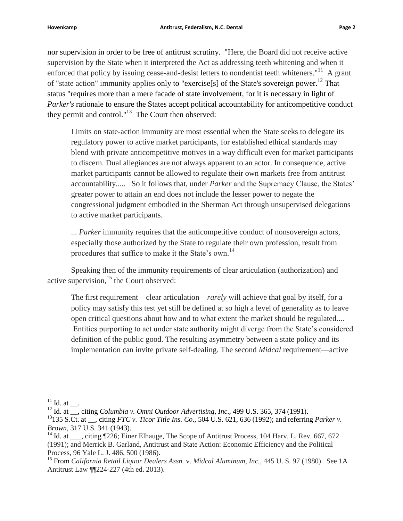nor supervision in order to be free of antitrust scrutiny. "Here, the Board did not receive active supervision by the State when it interpreted the Act as addressing teeth whitening and when it enforced that policy by issuing cease-and-desist letters to nondentist teeth whiteners."<sup>11</sup> A grant of "state action" immunity applies only to "exercise[s] of the State's sovereign power.<sup>12</sup> That status "requires more than a mere facade of state involvement, for it is necessary in light of *Parker's* rationale to ensure the States accept political accountability for anticompetitive conduct they permit and control."<sup>13</sup> The Court then observed:

Limits on state-action immunity are most essential when the State seeks to delegate its regulatory power to active market participants, for established ethical standards may blend with private anticompetitive motives in a way difficult even for market participants to discern. Dual allegiances are not always apparent to an actor. In consequence, active market participants cannot be allowed to regulate their own markets free from antitrust accountability..... So it follows that, under *Parker* and the Supremacy Clause, the States' greater power to attain an end does not include the lesser power to negate the congressional judgment embodied in the Sherman Act through unsupervised delegations to active market participants.

... *Parker* immunity requires that the anticompetitive conduct of nonsovereign actors, especially those authorized by the State to regulate their own profession, result from procedures that suffice to make it the State's own.<sup>14</sup>

Speaking then of the immunity requirements of clear articulation (authorization) and active supervision,  $15$  the Court observed:

The first requirement—clear articulation—*rarely* will achieve that goal by itself, for a policy may satisfy this test yet still be defined at so high a level of generality as to leave open critical questions about how and to what extent the market should be regulated.... Entities purporting to act under state authority might diverge from the State's considered definition of the public good. The resulting asymmetry between a state policy and its implementation can invite private self-dealing. The second *Midcal* requirement—active

 $\overline{\phantom{a}}$  $11$  Id. at \_\_.

<sup>12</sup> Id. at \_\_, citing *Columbia v. Omni Outdoor Advertising, Inc*., 499 U.S. 365, 374 (1991).

<sup>13</sup>135 S.Ct. at \_\_, citing *FTC v. Ticor Title Ins. Co*., 504 U.S. 621, 636 (1992); and referring *Parker v. Brown*, 317 U.S. 341 (1943).

<sup>&</sup>lt;sup>14</sup> Id. at \_\_\_, citing ¶226; Einer Elhauge, The Scope of Antitrust Process, 104 Harv. L. Rev. 667, 672 (1991); and Merrick B. Garland, Antitrust and State Action: Economic Efficiency and the Political Process, 96 Yale L. J. 486, 500 (1986).

<sup>15</sup> From *California Retail Liquor Dealers Assn.* v. *Midcal Aluminum, Inc.*, 445 U. S. 97 (1980). See 1A Antitrust Law ¶¶224-227 (4th ed. 2013).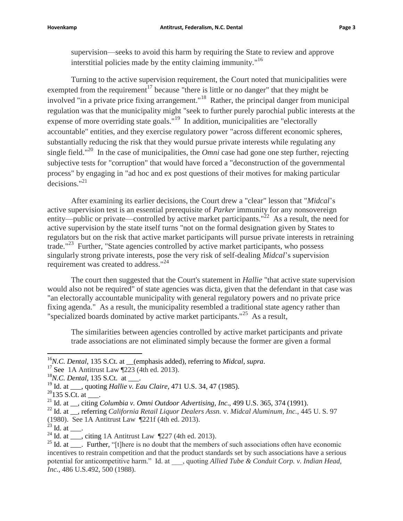supervision—seeks to avoid this harm by requiring the State to review and approve interstitial policies made by the entity claiming immunity." 16

Turning to the active supervision requirement, the Court noted that municipalities were exempted from the requirement<sup>17</sup> because "there is little or no danger" that they might be involved "in a private price fixing arrangement."<sup>18</sup> Rather, the principal danger from municipal regulation was that the municipality might "seek to further purely parochial public interests at the expense of more overriding state goals."<sup>19</sup> In addition, municipalities are "electorally accountable" entities, and they exercise regulatory power "across different economic spheres, substantially reducing the risk that they would pursue private interests while regulating any single field."<sup>20</sup> In the case of municipalities, the *Omni* case had gone one step further, rejecting subjective tests for "corruption" that would have forced a "deconstruction of the governmental process" by engaging in "ad hoc and ex post questions of their motives for making particular decisions."<sup>21</sup>

After examining its earlier decisions, the Court drew a "clear" lesson that "*Midcal*'s active supervision test is an essential prerequisite of *Parker* immunity for any nonsovereign entity—public or private—controlled by active market participants."<sup>22</sup> As a result, the need for active supervision by the state itself turns "not on the formal designation given by States to regulators but on the risk that active market participants will pursue private interests in retraining trade."<sup>23</sup> Further, "State agencies controlled by active market participants, who possess singularly strong private interests, pose the very risk of self-dealing *Midcal*'s supervision requirement was created to address."<sup>24</sup>

The court then suggested that the Court's statement in *Hallie* "that active state supervision would also not be required" of state agencies was dicta, given that the defendant in that case was "an electorally accountable municipality with general regulatory powers and no private price fixing agenda." As a result, the municipality resembled a traditional state agency rather than "specialized boards dominated by active market participants."<sup>25</sup> As a result,

The similarities between agencies controlled by active market participants and private trade associations are not eliminated simply because the former are given a formal

- <sup>22</sup> Id. at \_\_, referring *California Retail Liquor Dealers Assn.* v. *Midcal Aluminum, Inc.*, 445 U. S. 97
- (1980). See 1A Antitrust Law ¶221f (4th ed. 2013).

<sup>16</sup>*N.C. Dental*, 135 S.Ct. at \_\_(emphasis added), referring to *Midcal*, *supra*.

 $17$  See 1A Antitrust Law  $\P$ 223 (4th ed. 2013).

<sup>18</sup>*N.C. Dental*, 135 S.Ct. at \_\_\_.

<sup>19</sup> Id. at \_\_\_, quoting *Hallie v. Eau Claire*, 471 U.S. 34, 47 (1985).

 $20135$  S.Ct. at \_

<sup>21</sup> Id. at \_\_, citing *Columbia v. Omni Outdoor Advertising, Inc*., 499 U.S. 365, 374 (1991).

 $23$  Id. at \_\_\_.

<sup>&</sup>lt;sup>24</sup> Id. at  $\overline{\phantom{a}}$ , citing 1A Antitrust Law ¶227 (4th ed. 2013).

<sup>&</sup>lt;sup>25</sup> Id. at \_\_\_\_. Further, "[t]here is no doubt that the members of such associations often have economic incentives to restrain competition and that the product standards set by such associations have a serious potential for anticompetitive harm." Id. at \_\_\_, quoting *Allied Tube & Conduit Corp. v. Indian Head, Inc.*, 486 U.S.492, 500 (1988).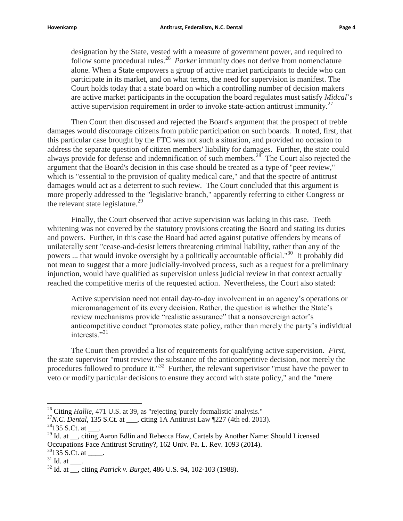designation by the State, vested with a measure of government power, and required to follow some procedural rules.<sup>26</sup> Parker immunity does not derive from nomenclature alone. When a State empowers a group of active market participants to decide who can participate in its market, and on what terms, the need for supervision is manifest. The Court holds today that a state board on which a controlling number of decision makers are active market participants in the occupation the board regulates must satisfy *Midcal*'s active supervision requirement in order to invoke state-action antitrust immunity.<sup>27</sup>

Then Court then discussed and rejected the Board's argument that the prospect of treble damages would discourage citizens from public participation on such boards. It noted, first, that this particular case brought by the FTC was not such a situation, and provided no occasion to address the separate question of citizen members' liability for damages. Further, the state could always provide for defense and indemnification of such members.<sup>28</sup> The Court also rejected the argument that the Board's decision in this case should be treated as a type of "peer review," which is "essential to the provision of quality medical care," and that the spectre of antitrust damages would act as a deterrent to such review. The Court concluded that this argument is more properly addressed to the "legislative branch," apparently referring to either Congress or the relevant state legislature.<sup>29</sup>

Finally, the Court observed that active supervision was lacking in this case. Teeth whitening was not covered by the statutory provisions creating the Board and stating its duties and powers. Further, in this case the Board had acted against putative offenders by means of unilaterally sent "cease-and-desist letters threatening criminal liability, rather than any of the powers ... that would invoke oversight by a politically accountable official."<sup>30</sup> It probably did not mean to suggest that a more judicially-involved process, such as a request for a preliminary injunction, would have qualified as supervision unless judicial review in that context actually reached the competitive merits of the requested action. Nevertheless, the Court also stated:

Active supervision need not entail day-to-day involvement in an agency's operations or micromanagement of its every decision. Rather, the question is whether the State's review mechanisms provide "realistic assurance" that a nonsovereign actor's anticompetitive conduct "promotes state policy, rather than merely the party's individual interests<sup>"31</sup>

The Court then provided a list of requirements for qualifying active supervision. *First*, the state supervisor "must review the substance of the anticompetitive decision, not merely the procedures followed to produce it." $32$  Further, the relevant superivisor "must have the power to veto or modify particular decisions to ensure they accord with state policy," and the "mere

<sup>&</sup>lt;sup>26</sup> Citing *Hallie*, 471 U.S. at 39, as "rejecting 'purely formalistic' analysis."

<sup>&</sup>lt;sup>27</sup>N.C. Dental, 135 S.Ct. at \_\_\_, citing 1A Antitrust Law  $\mathbb{Z}$  27 (4th ed. 2013).

 $^{28}$ 135 S.Ct. at  $\qquad$ .

<sup>&</sup>lt;sup>29</sup> Id. at <sub>\_\_</sub>, citing Aaron Edlin and Rebecca Haw, Cartels by Another Name: Should Licensed Occupations Face Antitrust Scrutiny?, 162 Univ. Pa. L. Rev. 1093 (2014).

 $^{30}$ 135 S.Ct. at

 $31$  Id. at \_\_\_.

<sup>32</sup> Id. at \_\_, citing *Patrick v. Burget*, 486 U.S. 94, 102-103 (1988).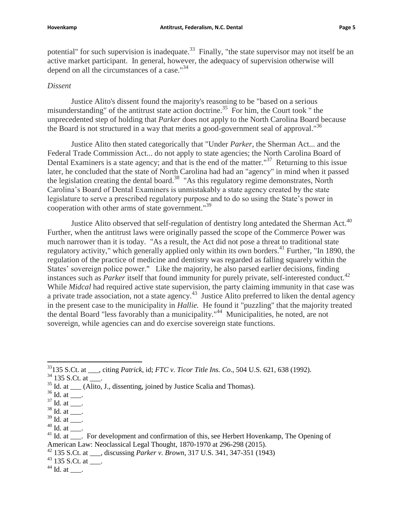potential" for such supervision is inadequate.<sup>33</sup> Finally, "the state supervisor may not itself be an active market participant. In general, however, the adequacy of supervision otherwise will depend on all the circumstances of a case."<sup>34</sup>

## *Dissent*

Justice Alito's dissent found the majority's reasoning to be "based on a serious misunderstanding" of the antitrust state action doctrine.<sup>35</sup> For him, the Court took " the unprecedented step of holding that *Parker* does not apply to the North Carolina Board because the Board is not structured in a way that merits a good-government seal of approval."<sup>36</sup>

Justice Alito then stated categorically that "Under *Parker*, the Sherman Act... and the Federal Trade Commission Act... do not apply to state agencies; the North Carolina Board of Dental Examiners is a state agency; and that is the end of the matter."<sup>37</sup> Returning to this issue later, he concluded that the state of North Carolina had had an "agency" in mind when it passed the legislation creating the dental board.<sup>38</sup> "As this regulatory regime demonstrates, North Carolina's Board of Dental Examiners is unmistakably a state agency created by the state legislature to serve a prescribed regulatory purpose and to do so using the State's power in cooperation with other arms of state government."<sup>39</sup>

Justice Alito observed that self-regulation of dentistry long antedated the Sherman Act.<sup>40</sup> Further, when the antitrust laws were originally passed the scope of the Commerce Power was much narrower than it is today. "As a result, the Act did not pose a threat to traditional state regulatory activity," which generally applied only within its own borders.<sup>41</sup> Further, "In 1890, the regulation of the practice of medicine and dentistry was regarded as falling squarely within the States' sovereign police power." Like the majority, he also parsed earlier decisions, finding instances such as *Parker* itself that found immunity for purely private, self-interested conduct.<sup>42</sup> While *Midcal* had required active state supervision, the party claiming immunity in that case was a private trade association, not a state agency.<sup>43</sup> Justice Alito preferred to liken the dental agency in the present case to the municipality in *Hallie.* He found it "puzzling" that the majority treated the dental Board "less favorably than a municipality."<sup>44</sup> Municipalities, he noted, are not sovereign, while agencies can and do exercise sovereign state functions.

- <sup>42</sup> 135 S.Ct. at \_\_\_, discussing *Parker v. Brown*, 317 U.S. 341, 347-351 (1943)
- $43$  135 S.Ct. at \_\_\_.

<sup>33</sup>135 S.Ct. at \_\_\_, citing *Patrick*, id; *FTC v. Ticor Title Ins. Co*., 504 U.S. 621, 638 (1992).

 $34$  135 S.Ct. at \_\_\_.

<sup>&</sup>lt;sup>35</sup> Id. at  $\frac{1}{\sqrt{35}}$  (Alito, J., dissenting, joined by Justice Scalia and Thomas).

 $36$  Id. at \_\_\_\_.

 $37$  Id. at \_\_\_\_.

 $38$  Id. at \_\_\_\_.

 $39$  Id. at  $\qquad$ .

 $^{40}$  Id. at \_\_.

 $^{41}$  Id. at  $\overline{\phantom{a}}$ . For development and confirmation of this, see Herbert Hovenkamp, The Opening of American Law: Neoclassical Legal Thought, 1870-1970 at 296-298 (2015).

 $44$  Id. at \_\_\_\_.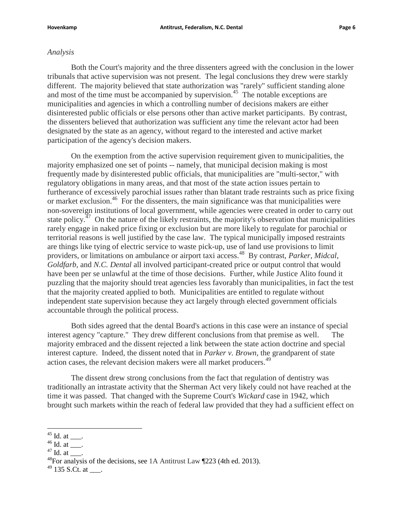## *Analysis*

Both the Court's majority and the three dissenters agreed with the conclusion in the lower tribunals that active supervision was not present. The legal conclusions they drew were starkly different. The majority believed that state authorization was "rarely" sufficient standing alone and most of the time must be accompanied by supervision.<sup>45</sup> The notable exceptions are municipalities and agencies in which a controlling number of decisions makers are either disinterested public officials or else persons other than active market participants. By contrast, the dissenters believed that authorization was sufficient any time the relevant actor had been designated by the state as an agency, without regard to the interested and active market participation of the agency's decision makers.

On the exemption from the active supervision requirement given to municipalities, the majority emphasized one set of points -- namely, that municipal decision making is most frequently made by disinterested public officials, that municipalities are "multi-sector," with regulatory obligations in many areas, and that most of the state action issues pertain to furtherance of excessively parochial issues rather than blatant trade restraints such as price fixing or market exclusion.<sup>46</sup> For the dissenters, the main significance was that municipalities were non-sovereign institutions of local government, while agencies were created in order to carry out state policy.<sup> $47$ </sup> On the nature of the likely restraints, the majority's observation that municipalities rarely engage in naked price fixing or exclusion but are more likely to regulate for parochial or territorial reasons is well justified by the case law. The typical municipally imposed restraints are things like tying of electric service to waste pick-up, use of land use provisions to limit providers, or limitations on ambulance or airport taxi access.<sup>48</sup> By contrast, *Parker*, *Midcal*, *Goldfarb*, and *N.C. Dental* all involved participant-created price or output control that would have been per se unlawful at the time of those decisions. Further, while Justice Alito found it puzzling that the majority should treat agencies less favorably than municipalities, in fact the test that the majority created applied to both. Municipalities are entitled to regulate without independent state supervision because they act largely through elected government officials accountable through the political process.

Both sides agreed that the dental Board's actions in this case were an instance of special interest agency "capture." They drew different conclusions from that premise as well. The majority embraced and the dissent rejected a link between the state action doctrine and special interest capture. Indeed, the dissent noted that in *Parker v. Brown*, the grandparent of state action cases, the relevant decision makers were all market producers.<sup>49</sup>

The dissent drew strong conclusions from the fact that regulation of dentistry was traditionally an intrastate activity that the Sherman Act very likely could not have reached at the time it was passed. That changed with the Supreme Court's *Wickard* case in 1942, which brought such markets within the reach of federal law provided that they had a sufficient effect on

 $47$  Id. at  $\qquad$ .

 $\overline{\phantom{a}}$  $^{45}$  Id. at  $\_\_$ .

 $46$  Id. at \_\_\_\_.

<sup>&</sup>lt;sup>48</sup>For analysis of the decisions, see 1A Antitrust Law  $\mathbb{Z}$ 23 (4th ed. 2013).

 $49$  135 S.Ct. at \_\_\_.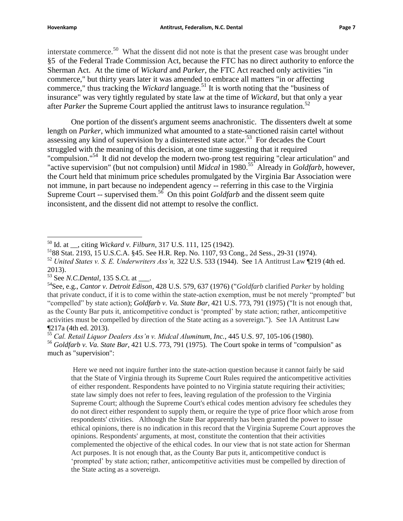interstate commerce.<sup>50</sup> What the dissent did not note is that the present case was brought under §5 of the Federal Trade Commission Act, because the FTC has no direct authority to enforce the Sherman Act. At the time of *Wickard* and *Parker,* the FTC Act reached only activities "in commerce," but thirty years later it was amended to embrace all matters "in or affecting commerce," thus tracking the *Wickard* language.<sup>51</sup> It is worth noting that the "business of insurance" was very tightly regulated by state law at the time of *Wickard*, but that only a year after *Parker* the Supreme Court applied the antitrust laws to insurance regulation.<sup>52</sup>

One portion of the dissent's argument seems anachronistic. The dissenters dwelt at some length on *Parker*, which immunized what amounted to a state-sanctioned raisin cartel without assessing any kind of supervision by a disinterested state actor.<sup>53</sup> For decades the Court struggled with the meaning of this decision, at one time suggesting that it required "compulsion."<sup>54</sup> It did not develop the modern two-prong test requiring "clear articulation" and "active supervision" (but not compulsion) until *Midcal* in 1980. 55 Already in *Goldfarb*, however, the Court held that minimum price schedules promulgated by the Virginia Bar Association were not immune, in part because no independent agency -- referring in this case to the Virginia Supreme Court -- supervised them.<sup>56</sup> On this point *Goldfarb* and the dissent seem quite inconsistent, and the dissent did not attempt to resolve the conflict.

- <sup>52</sup> *United States v. S. E. Underwriters Ass'n,* 322 U.S. 533 (1944). See 1A Antitrust Law ¶219 (4th ed. 2013).
- <sup>53</sup> See *N.C.Dental*, 135 S.Ct. at \_\_\_.

Here we need not inquire further into the state-action question because it cannot fairly be said that the State of Virginia through its Supreme Court Rules required the anticompetitive activities of either respondent. Respondents have pointed to no Virginia statute requiring their activities; state law simply does not refer to fees, leaving regulation of the profession to the Virginia Supreme Court; although the Supreme Court's ethical codes mention advisory fee schedules they do not direct either respondent to supply them, or require the type of price floor which arose from respondents' ctivities. Although the State Bar apparently has been granted the power to issue ethical opinions, there is no indication in this record that the Virginia Supreme Court approves the opinions. Respondents' arguments, at most, constitute the contention that their activities complemented the objective of the ethical codes. In our view that is not state action for Sherman Act purposes. It is not enough that, as the County Bar puts it, anticompetitive conduct is 'prompted' by state action; rather, anticompetitive activities must be compelled by direction of the State acting as a sovereign.

 $\overline{\phantom{a}}$ <sup>50</sup> Id. at \_\_, citing *Wickard v. Filburn*, 317 U.S. 111, 125 (1942).

<sup>51</sup>88 Stat. 2193, 15 U.S.C.A. §45. See H.R. Rep. No. 1107, 93 Cong., 2d Sess., 29-31 (1974).

<sup>54</sup>See, e.g., *Cantor v. Detroit Edison*, 428 U.S. 579, 637 (1976) ("*Goldfarb* clarified *Parker* by holding that private conduct, if it is to come within the state-action exemption, must be not merely "prompted" but "compelled" by state action); *Goldfarb v. Va. State Bar*, 421 U.S. 773, 791 (1975) ("It is not enough that, as the County Bar puts it, anticompetitive conduct is 'prompted' by state action; rather, anticompetitive activities must be compelled by direction of the State acting as a sovereign."). See 1A Antitrust Law ¶217a (4th ed. 2013).

<sup>55</sup> *Cal. Retail Liquor Dealers Ass'n v. Midcal Aluminum, Inc.*, 445 U.S. 97, 105-106 (1980). <sup>56</sup> *Goldfarb v. Va. State Bar*, 421 U.S. 773, 791 (1975). The Court spoke in terms of "compulsion" as much as "supervision":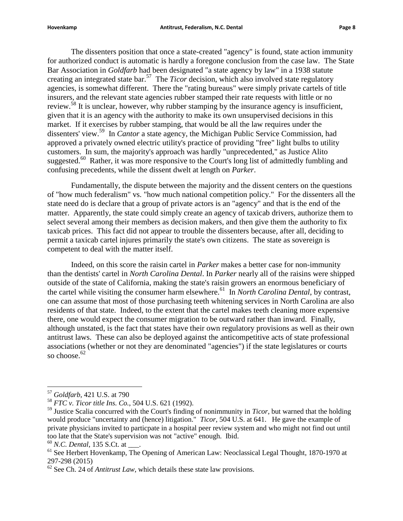The dissenters position that once a state-created "agency" is found, state action immunity for authorized conduct is automatic is hardly a foregone conclusion from the case law. The State Bar Association in *Goldfarb* had been designated "a state agency by law" in a 1938 statute creating an integrated state bar.<sup>57</sup> The *Ticor* decision, which also involved state regulatory agencies, is somewhat different. There the "rating bureaus" were simply private cartels of title insurers, and the relevant state agencies rubber stamped their rate requests with little or no review.<sup>58</sup> It is unclear, however, why rubber stamping by the insurance agency is insufficient, given that it is an agency with the authority to make its own unsupervised decisions in this market. If it exercises by rubber stamping, that would be all the law requires under the dissenters' view.<sup>59</sup> In *Cantor* a state agency, the Michigan Public Service Commission, had approved a privately owned electric utility's practice of providing "free" light bulbs to utility customers. In sum, the majority's approach was hardly "unprecedented," as Justice Alito suggested.<sup>60</sup> Rather, it was more responsive to the Court's long list of admittedly fumbling and confusing precedents, while the dissent dwelt at length on *Parker*.

Fundamentally, the dispute between the majority and the dissent centers on the questions of "how much federalism" vs. "how much national competition policy." For the dissenters all the state need do is declare that a group of private actors is an "agency" and that is the end of the matter. Apparently, the state could simply create an agency of taxicab drivers, authorize them to select several among their members as decision makers, and then give them the authority to fix taxicab prices. This fact did not appear to trouble the dissenters because, after all, deciding to permit a taxicab cartel injures primarily the state's own citizens. The state as sovereign is competent to deal with the matter itself.

Indeed, on this score the raisin cartel in *Parker* makes a better case for non-immunity than the dentists' cartel in *North Carolina Dental*. In *Parker* nearly all of the raisins were shipped outside of the state of California, making the state's raisin growers an enormous beneficiary of the cartel while visiting the consumer harm elsewhere.<sup>61</sup> In *North Carolina Dental*, by contrast, one can assume that most of those purchasing teeth whitening services in North Carolina are also residents of that state. Indeed, to the extent that the cartel makes teeth cleaning more expensive there, one would expect the consumer migration to be outward rather than inward. Finally, although unstated, is the fact that states have their own regulatory provisions as well as their own antitrust laws. These can also be deployed against the anticompetitive acts of state professional associations (whether or not they are denominated "agencies") if the state legislatures or courts so choose.<sup>62</sup>

<sup>57</sup> *Goldfarb*, 421 U.S. at 790

<sup>58</sup> *FTC v. Ticor title Ins. Co.*, 504 U.S. 621 (1992).

<sup>59</sup> Justice Scalia concurred with the Court's finding of nonimmunity in *Ticor*, but warned that the holding would produce "uncertainty and (hence) litigation." *Ticor*, 504 U.S. at 641. He gave the example of private physicians invited to particpate in a hospital peer review system and who might not find out until too late that the State's supervision was not "active" enough. Ibid.

<sup>60</sup> *N.C. Dental*, 135 S.Ct. at \_\_\_.

 $61$  See Herbert Hovenkamp, The Opening of American Law: Neoclassical Legal Thought, 1870-1970 at 297-298 (2015)

<sup>&</sup>lt;sup>62</sup> See Ch. 24 of *Antitrust Law*, which details these state law provisions.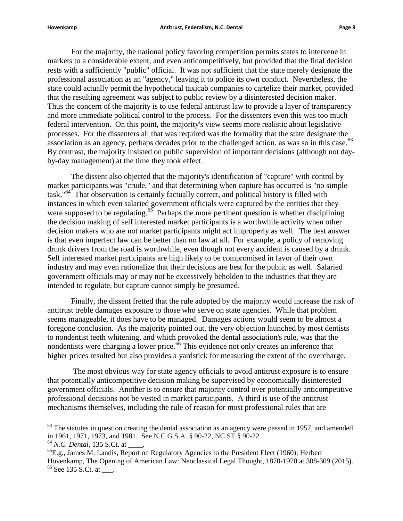For the majority, the national policy favoring competition permits states to intervene in markets to a considerable extent, and even anticompetitively, but provided that the final decision rests with a sufficiently "public" official. It was not sufficient that the state merely designate the professional association as an "agency," leaving it to police its own conduct. Nevertheless, the state could actually permit the hypothetical taxicab companies to cartelize their market, provided that the resulting agreement was subject to public review by a disinterested decision maker. Thus the concern of the majority is to use federal antitrust law to provide a layer of transparency and more immediate political control to the process. For the dissenters even this was too much federal intervention. On this point, the majority's view seems more realistic about legislative processes. For the dissenters all that was required was the formality that the state designate the association as an agency, perhaps decades prior to the challenged action, as was so in this case.<sup>63</sup> By contrast, the majority insisted on public supervision of important decisions (although not dayby-day management) at the time they took effect.

The dissent also objected that the majority's identification of "capture" with control by market participants was "crude," and that determining when capture has occurred is "no simple task."<sup>64</sup> That observation is certainly factually correct, and political history is filled with instances in which even salaried government officials were captured by the entities that they were supposed to be regulating.<sup>65</sup> Perhaps the more pertinent question is whether disciplining the decision making of self interested market participants is a worthwhile activity when other decision makers who are not market participants might act improperly as well. The best answer is that even imperfect law can be better than no law at all. For example, a policy of removing drunk drivers from the road is worthwhile, even though not every accident is caused by a drunk. Self interested market participants are high likely to be compromised in favor of their own industry and may even rationalize that their decisions are best for the public as well. Salaried government officials may or may not be excessively beholden to the industries that they are intended to regulate, but capture cannot simply be presumed.

Finally, the dissent fretted that the rule adopted by the majority would increase the risk of antitrust treble damages exposure to those who serve on state agencies. While that problem seems manageable, it does have to be managed. Damages actions would seem to be almost a foregone conclusion. As the majority pointed out, the very objection launched by most dentists to nondentist teeth whitening, and which provoked the dental association's rule, was that the nondentists were charging a lower price.<sup>66</sup> This evidence not only creates an inference that higher prices resulted but also provides a yardstick for measuring the extent of the overcharge.

The most obvious way for state agency officials to avoid antitrust exposure is to ensure that potentially anticompetitive decision making be supervised by economically disinterested government officials. Another is to ensure that majority control over potentially anticompetitive professional decisions not be vested in market participants. A third is use of the antitrust mechanisms themselves, including the rule of reason for most professional rules that are

 $\overline{a}$ 

 $63$  The statutes in question creating the dental association as an agency were passed in 1957, and amended in 1961, 1971, 1973, and 1981. See N.C.G.S.A. § 90-22, NC ST § 90-22.

<sup>&</sup>lt;sup>64</sup> *N.C. Dental*, 135 S.Ct. at \_\_\_\_.

 ${}^{65}E.g.,$  James M. Landis, Report on Regulatory Agencies to the President Elect (1960); Herbert Hovenkamp, The Opening of American Law: Neoclassical Legal Thought, 1870-1970 at 308-309 (2015).  $66$  See 135 S.Ct. at \_\_\_.